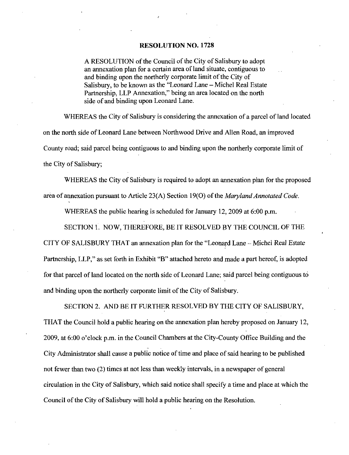### RESOLUTION NO. 1728

A RESOLUTION of the Council of the City of Salisbury to adopt an annexation plan for a certain area of land situate, contiguous to and binding upon the northerly corporate limit of the City of Salisbury, to be known as the "Leonard Lane - Michel Real Estate Partnership, LLP Annexation," being an area located on the north side of and binding upon Leonard Lane.

WHEREAS the City of Salisbury is considering the annexation of a parcel of land located on the north side of Leonard Lane between Northwood Drive and Allen Road, an improved County road; said parcel being contiguous to and binding upon the northerly corporate limit of the City of Salisbury;

WHEREAS the City of Salisbury is required to adopt an annexation plan for the proposed area of annexation pursuant to Article  $23(A)$  Section 19(O) of the *Maryland Annotated Code*.

WHEREAS the public hearing is scheduled for January 12, 2009 at  $6:00$  p.m.

SECTION 1. NOW, THEREFORE, BE IT RESOLVED BY THE COUNCIL OF THE

CITY OF SALISBURY THAT an annexation plan for the "Leonard Lane -- Michel Real Estate Partnership, LLP," as set forth in Exhibit "B" attached hereto and made a part hereof, is adopted for that parcel of land located on the north side of Leonard Lane; said parcel being contiguous to and binding upon the northerly corporate limit of the City of Salisbury

SECTION 2. AND BE IT FURTHER RESOLVED BY THE CITY OF SALISBURY, THAT the Council hold a public hearing on the annexation plan hereby proposed on January 12,  $2009$ , at  $6:00$  o'clock p.m. in the Council Chambers at the City-County Office Building and the City Administrator shall cause a public notice of time and place of said hearing to be published not fewer than two  $(2)$  times at not less than weekly intervals, in a newspaper of general circulation in the City of Salisbury, which said notice shall specify a time and place at which the Council of the City of Salisbury will hold a public hearing on the Resolution.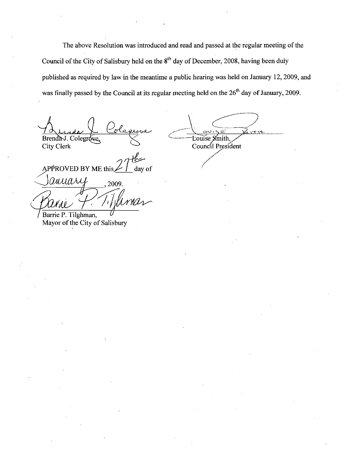The above Resolution was introduced and read and passed at the regular meeting of the Council of the City of Salisbury held on the  $8<sup>th</sup>$  day of December, 2008, having been duly published as required by law in the meantime a public hearing was held on January 12, 2009, and was finally passed by the Council at its regular meeting held on the  $26<sup>th</sup>$  day of January, 2009.

Brenda J. Colegrove City Clerk

**Louise** Council President

APPROVED BY ME this

anyary  $_{,2009}$ Barrie P. Tilghman,

Mayor of the City of Salisbury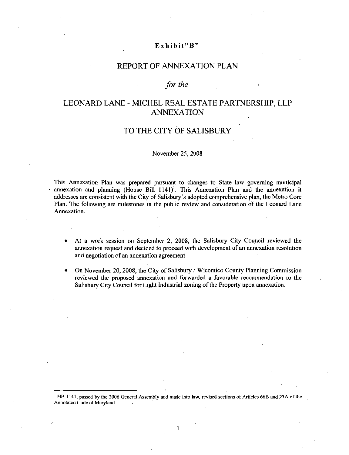# Exhibit"  $B$ "

### REPORT OF ANNEXATION PLAN

### for the

# LEONARD LANE - MICHEL REAL ESTATE PARTNERSHIP, LLP ANNEXATION

# TO THE CITY OF SALISBURY

### November 25, 2008

This Annexation Plan was prepazed pursuant to changes to State law governing municipal annexation and planning (House Bill  $1141$ <sup>T</sup>). This Annexation Plan and the annexation it addresses are consistent with the City of Salisbury's adopted comprehensive plan, the Metro Core This Annexation Plan was prepared pursuant to changes to State law governing municipal<br>annexation and planning (House Bill 1141)<sup>1</sup>. This Annexation Plan and the annexation it<br>addresses are consistent with the City of Sali Plan. The following are milestones in the public review and consideration of the Leonard Lane Annexation

- At a work session on September 2, 2008, the Salisbury City Council reviewed the annexation request and decided to proceed with development of an annexation resolution and negotiation of an annexation agreement.
- On November 20, 2008, the City of Salisbury / Wicomico County Planning Commission reviewed the proposed annexation and forwarded a favorable recommendation to the Salisbury City Council for Light Industrial zoning of the Property upon annexation.

<sup>1</sup> HB 1141, passed by the 2006 General Assembly and made into law, revised sections of Articles 66B and 23A of the Annotated Code of Maryland

 $\mathbf{1}$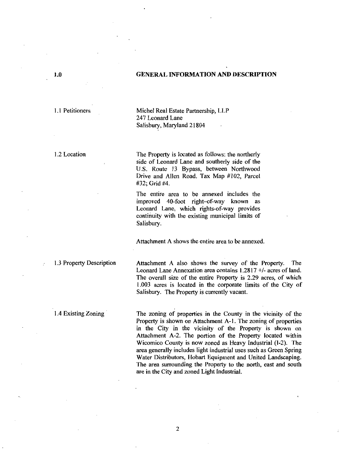### 10 GENERAL INFORMATION AND DESCRIPTION

1.1 Petitioners Michel Real Estate Partnership, LLP 247 Leonard Lane Salisbury, Maryland 21804

1.2 Location The Property is located as follows: the northerly side of Leonard Lane and southerly side of the U.S. Route 13 Bypass, between Northwood Drive and Allen Road. Tax Map  $#102$ , Parcel  $#32$ ; Grid  $#4$ . Michel Real Estate Partnership, LLP<br>247 Leonard Lane<br>Salisbury, Maryland 21804<br>The Property is located as follows: the northerly<br>side of Leonard Lane and southerly side of the<br>U.S. Route 13 Bypass, between Northwood<br>Drive

The entire area to be annexed includes the  $#32$ ; Grid  $#4$ .<br>The entire area to be annexed includes the<br>improved 40-foot right-of-way known as<br>Leonard Lane, which rights-of-way provides continuity with the existing municipal limits of Salisbury

Attachment A shows the entire area to be annexed

1.3 Property Description **Attachment A also shows the survey of the Property**. The Attachment A shows the entire area to be almexed.<br>
Attachment A also shows the survey of the Property. The<br>
Leonard Lane Annexation area contains 1.2817 +/- acres of land.<br>
The overall size of the entire Property is 2.29 a Leonard Lane Annexation area contains  $1.2817 + 1$ - acres of land.<br>The overall size of the entire Property is 2.29 acres, of which 003 acres is located in the corporate limits of the City of Salisbury. The Property is currently vacant.

1.4 Existing Zoning<br>
The zoning of properties in the County in the vicinity of the<br>
Property is shown on<br>
the City in the vicinity of the Property is shown on<br>
Attachment A-2. The portion of the Property located within<br>
Wi in the City in the vicinity of the Property is shown on Property is shown on Attachment A-1. The zoning of properties<br>in the City in the vicinity of the Property is shown on<br>Attachment A-2. The portion of the Property located within<br>Wisomias County is now ganged as Hours Indust area generally includes light industrial uses such as Green Spring Water Distributors, Hobart Equipment and United Landscaping. The area surrounding the Property to the north, east and south are in the City and zoned Light Industrial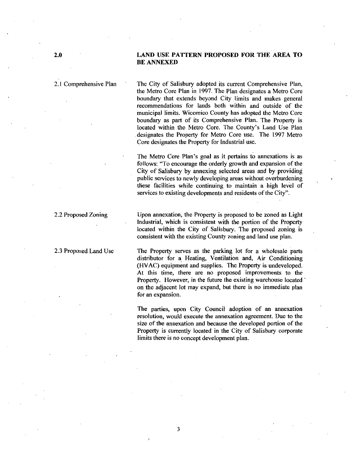2.1 Comprehensive Plan The City of Salisbury adopted its current Comprehensive Plan, the Metro Core Plan in 1997. The Plan designates a Metro Core boundary that extends beyond City limits and makes general recommendations for lands both within and outside of the municipal limits. Wicomico County has adopted the Metro Core boundary as part of its Comprehensive Plan. The Property is located within the Metro Core. The County's Land Use Plan boundary that extends beyond City limits and makes general<br>recommendations for lands both within and outside of the<br>municipal limits. Wicomico County has adopted the Metro Core<br>boundary as part of its Comprehensive Plan. T designates the Property for Metro Core use. The 1997 Metro Core designates the Property for Industrial use

designates the Property for Metro Core use. The 1997 Metro Core designates the Property for Industrial use.<br>The Metro Core Plan's goal as it pertains to annexations is as follows: "To encourage the orderly growth and expan City of Salisbury by annexing selected areas and by providing public services to newly developing areas without overburdening these facilities while continuing to maintain a high level of services to existing developments and residents of the City".

2.2 Proposed Zoning Upon annexation, the Property is proposed to be zoned as Light Industrial, which is consistent with the portion of the Property located within the City of Salisbury. The proposed zoning is consistent with the existing County zoning and land use plan.

23Proposed Land Use The Property serves as the parking lot for <sup>a</sup> wholesale parts distributor for a Heating, Ventilation and, Air Conditioning (HVAC) equipment and supplies. The Property is undeveloped. At this time, there are no proposed improvements to the Property. However, in the future the existing warehouse located on the adjacent lot may expand, but there is no immediate plan for an expansion

> The parties, upon City Council adoption of an annexation resolution, would execute the annexation agreement. Due to the size of the annexation and because the developed portion of the Property is currently located in the City of Salisbury corporate limits there is no concept development plan.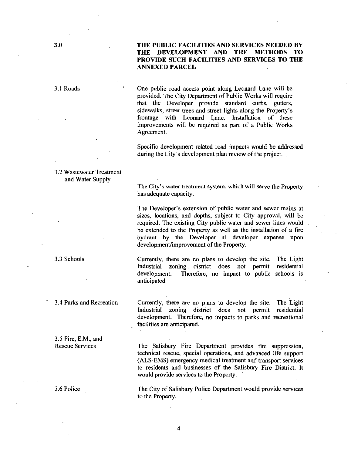### 30 THE PUBLIC FACILITIES AND SERVICES NEEDED BY THE DEVELOPMENT AND THE METHODS TO PROVIDE SUCH FACILITIES AND SERVICES TO THE ANNEXED PARCEL

31Roads One public road access point along Leonard Lane will be provided. The City Department of Public Works will require that the Developer provide standard curbs, gutters, One public road access point along Leonard Lane will be<br>provided. The City Department of Public Works will require<br>that the Developer provide standard curbs, gutters,<br>sidewalks, street trees and street lights along the Pro sidewalks, street trees and street lights along the Property's frontage with Leonard Lane. Installation of these improvements will be required as part of a Public Works Agreement

> Specific development related road impacts would be addressed during the City's development plan review of the project.

32Wastewater Treatment and Water Supply

3.5 Fire, E.M., and<br>Rescue Services

The City's water treatment system, which will serve the Property<br>has adequate capacity. has adequate capacity

The City's water treatment system, which will serve the Property<br>has adequate capacity.<br>The Developer's extension of public water and sewer mains at<br>sizes, locations, and depths, subject to City approval, will be<br>required. sizes, locations, and depths, subject to City approval, will be required. The existing City public water and sewer lines would be extended to the Property as well as the installation of a fire hydrant by the Developer at developer expense upon development/improvement of the Property.

3Schools Currently there are no plans to develop the site The Light Industrial zoning district does not permit residential development. Therefore, no impact to public schools is Therefore, no impact to public schools is anticipated

34Parks and Recreation Currently there aze no plans to develop the site The Light Industrial zoning district does not permit residential development. Therefore, no impacts to parks and recreational facilities are anticipated

> The Salisbury Fire Department provides fire suppression, technical rescue, special operations, and advanced life support (ALS-EMS) emergency medical treatment and transport services to residents and businesses of the Salisbury Fire District It would provide services to the Property

3.6 Police The City of Salisbury Police Department would provide services to the Property

4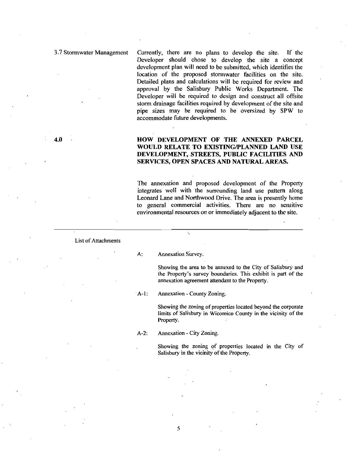37Stormwater Management Currently there are no plans to develop the site If the Developer should chose to develop the site a concept development plan will need to be submitted, which identifies the location of the proposed stormwater facilities on the site Detailed plans and calculations will be required for review and approval by the Salisbury Public Works Department. The Developer will be required to design and construct all offsite storm drainage facilities required by development of the site and pipe sizes may be required to be oversized by SPW to accommodate future developments

### 40 HOW DEVELOPMENT OF THE ANNEXED PARCEL WOULD RELATE TO EXISTING/PLANNED LAND USE DEVELOPMENT, STREETS, PUBLIC FACILITIES AND SERVICES, OPEN SPACES AND NATURAL AREAS.

The annexation and proposed development of the Property integrates well with the surrounding land use pattern along Leonard Lane and Northwood Drive. The area is presently home to general commercial activities There are no sensitive environmental resources on or immediately adjacent to the site.

List of Attachments

A: Annexation Survey.

Showing the area to be annexed to the City of Salisbury and Annexation Survey.<br>Showing the area to be annexed to the City of Salisbury and<br>the Property's survey boundaries. This exhibit is part of the<br>annexation agreement attendant to the Property. annexation agreement attendant to the Properly A: Annexation Survey.<br>
Showing the area to be anne<br>
the Property's survey bounds<br>
annexation agreement attenda<br>
A-1: Annexation - County Zoning.<br>
Showing the zoning of proper

Showing the zoning of properties located beyond the corporate limits of Salisbury in Wicomico County in the vicinity of the Property

A-2: Annexation - City Zoning.

Showing the zoning of properties located in the City of Salisbury in the vicinity of the Property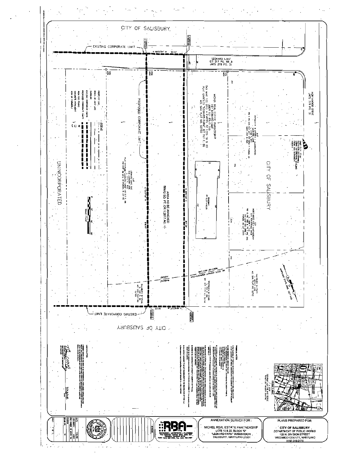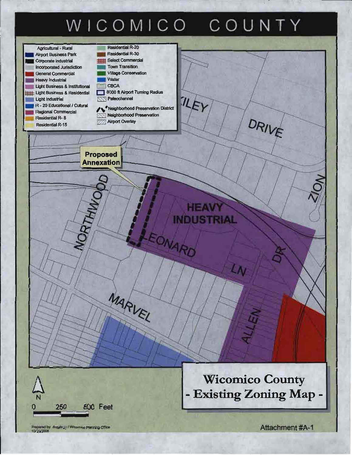# WICOMICO COUNTY